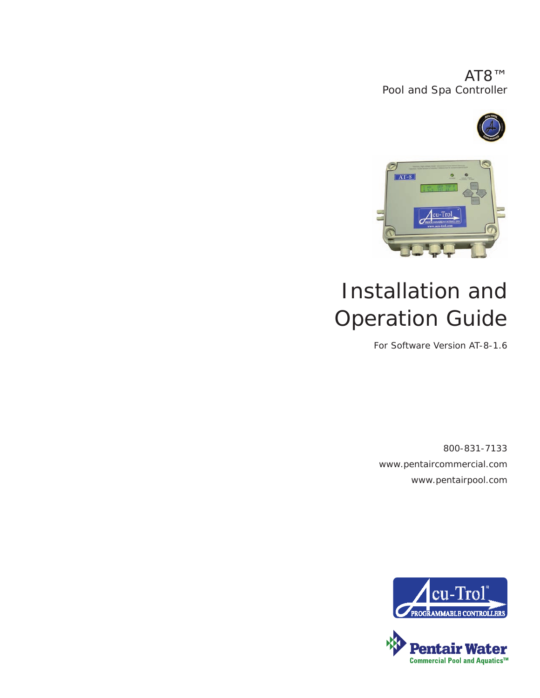AT8™ Pool and Spa Controller





# Installation and Operation Guide

For Software Version AT-8-1.6

800-831-7133 www.pentaircommercial.com www.pentairpool.com



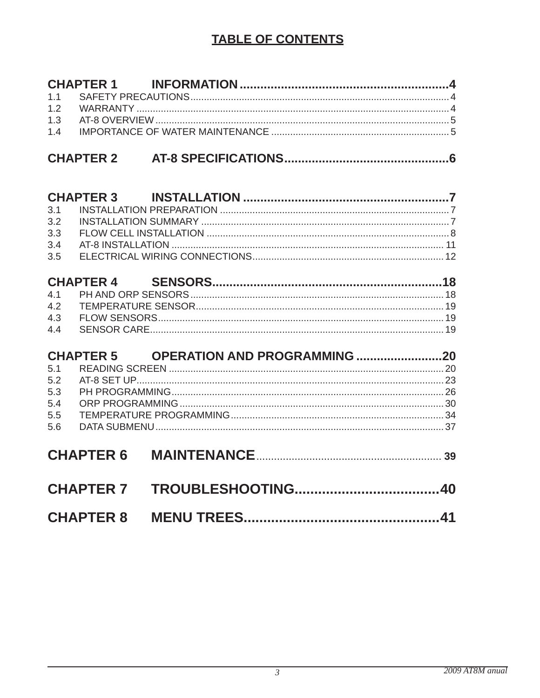## **TABLE OF CONTENTS**

| 1.1<br>1.2<br>1.3<br>1.4                                   |                              |
|------------------------------------------------------------|------------------------------|
|                                                            |                              |
| 3.1<br>3.2<br>3.3<br>3.4<br>3.5                            |                              |
| <b>CHAPTER 4</b><br>4.1<br>4.2<br>4.3<br>4.4               |                              |
| <b>CHAPTER 5</b><br>5.1<br>5.2<br>5.3<br>5.4<br>5.5<br>5.6 | OPERATION AND PROGRAMMING 20 |
| <b>CHAPTER 6</b>                                           |                              |
| <b>CHAPTER 7</b>                                           |                              |
| <b>CHAPTER 8</b>                                           |                              |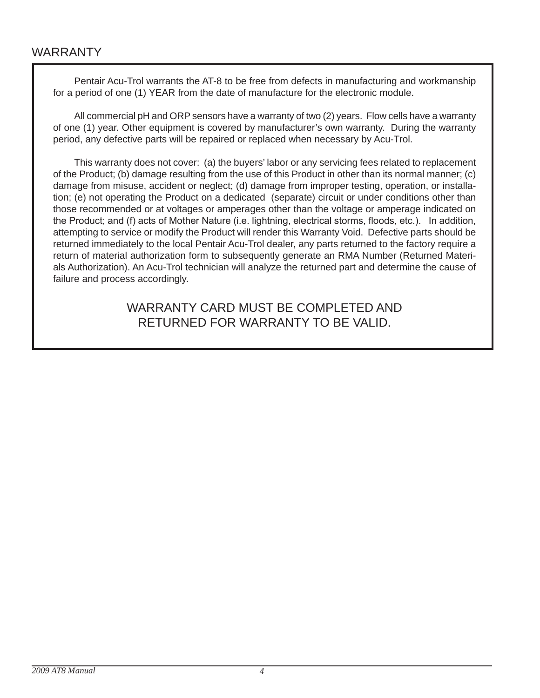Pentair Acu-Trol warrants the AT-8 to be free from defects in manufacturing and workmanship for a period of one (1) YEAR from the date of manufacture for the electronic module.

All commercial pH and ORP sensors have a warranty of two (2) years. Flow cells have a warranty of one (1) year. Other equipment is covered by manufacturer's own warranty. During the warranty period, any defective parts will be repaired or replaced when necessary by Acu-Trol.

This warranty does not cover: (a) the buyers' labor or any servicing fees related to replacement of the Product; (b) damage resulting from the use of this Product in other than its normal manner; (c) damage from misuse, accident or neglect; (d) damage from improper testing, operation, or installation; (e) not operating the Product on a dedicated (separate) circuit or under conditions other than those recommended or at voltages or amperages other than the voltage or amperage indicated on the Product; and (f) acts of Mother Nature (i.e. lightning, electrical storms, floods, etc.). In addition, attempting to service or modify the Product will render this Warranty Void. Defective parts should be returned immediately to the local Pentair Acu-Trol dealer, any parts returned to the factory require a return of material authorization form to subsequently generate an RmA Number (Returned materials Authorization). An Acu-Trol technician will analyze the returned part and determine the cause of failure and process accordingly.

> WARRANTY CARD MUST BE COMPLETED AND RETURNEd FOR WARRANTY TO bE VAlId.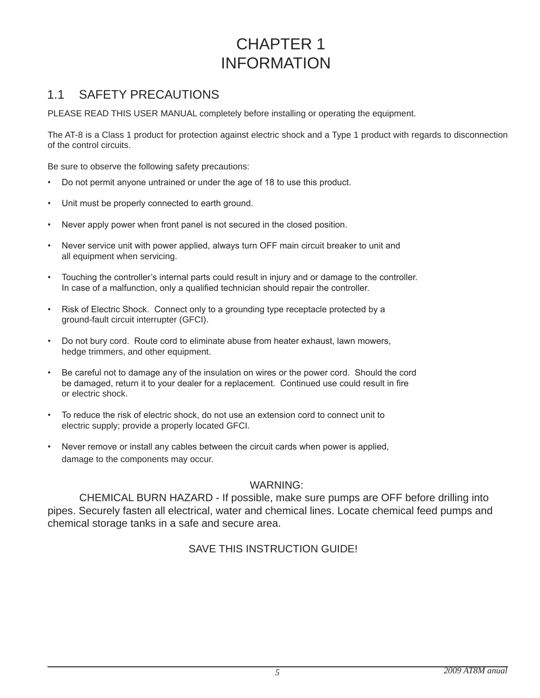## CHAPTER 1 **INFORMATION**

## 1.1 SAFETY PRECAUTIONS

PLEASE READ THIS USER MANUAL completely before installing or operating the equipment.

The AT-8 is a Class 1 product for protection against electric shock and a Type 1 product with regards to disconnection of the control circuits.

be sure to observe the following safety precautions:

- Do not permit anyone untrained or under the age of 18 to use this product.
- Unit must be properly connected to earth ground.
- Never apply power when front panel is not secured in the closed position.
- Never service unit with power applied, always turn OFF main circuit breaker to unit and all equipment when servicing.
- Touching the controller's internal parts could result in injury and or damage to the controller. In case of a malfunction, only a qualified technician should repair the controller.
- Risk of Electric Shock. Connect only to a grounding type receptacle protected by a ground-fault circuit interrupter (gFCI).
- Do not bury cord. Route cord to eliminate abuse from heater exhaust, lawn mowers, hedge trimmers, and other equipment.
- Be careful not to damage any of the insulation on wires or the power cord. Should the cord be damaged, return it to your dealer for a replacement. Continued use could result in fire or electric shock.
- To reduce the risk of electric shock, do not use an extension cord to connect unit to electric supply; provide a properly located gFCI.
- Never remove or install any cables between the circuit cards when power is applied, damage to the components may occur.

### WARNINg:

 CHEmICAl bURN HAZARd - If possible, make sure pumps are OFF before drilling into pipes. Securely fasten all electrical, water and chemical lines. locate chemical feed pumps and chemical storage tanks in a safe and secure area. ple,<br>d ch<br>area<br>STR

## SAVE THIS INSTRUCTION GUIDE!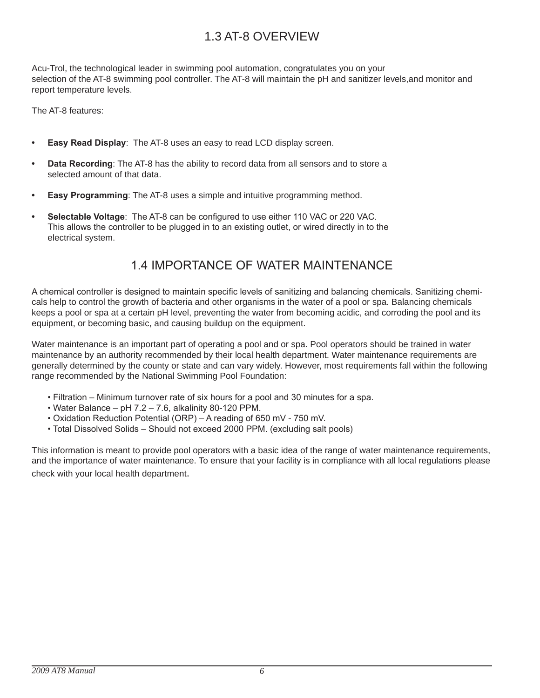## 1.3 AT-8 OVERVIEW

Acu-Trol, the technological leader in swimming pool automation, congratulates you on your selection of the AT-8 swimming pool controller. The AT-8 will maintain the pH and sanitizer levels, and monitor and report temperature levels.

The AT-8 features:

- **Easy Read Display:** The AT-8 uses an easy to read LCD display screen.
- **Data Recording**: The AT-8 has the ability to record data from all sensors and to store a selected amount of that data.
- **Easy Programming:** The AT-8 uses a simple and intuitive programming method.
- **Selectable Voltage**: The AT-8 can be configured to use either 110 VAC or 220 VAC. This allows the controller to be plugged in to an existing outlet, or wired directly in to the electrical system.

## 1.4 IMPORTANCE OF WATER MAINTENANCE

A chemical controller is designed to maintain specific levels of sanitizing and balancing chemicals. Sanitizing chemicals help to control the growth of bacteria and other organisms in the water of a pool or spa. Balancing chemicals keeps a pool or spa at a certain pH level, preventing the water from becoming acidic, and corroding the pool and its equipment, or becoming basic, and causing buildup on the equipment.

Water maintenance is an important part of operating a pool and or spa. Pool operators should be trained in water maintenance by an authority recommended by their local health department. Water maintenance requirements are generally determined by the county or state and can vary widely. However, most requirements fall within the following range recommended by the National Swimming Pool Foundation:

- Filtration Minimum turnover rate of six hours for a pool and 30 minutes for a spa.
- Water Balance pH 7.2 7.6, alkalinity 80-120 PPM.
- Oxidation Reduction Potential (ORP) A reading of 650 mV 750 mV.
- Total Dissolved Solids Should not exceed 2000 PPM. (excluding salt pools)

This information is meant to provide pool operators with a basic idea of the range of water maintenance requirements, and the importance of water maintenance. To ensure that your facility is in compliance with all local regulations please check with your local health department.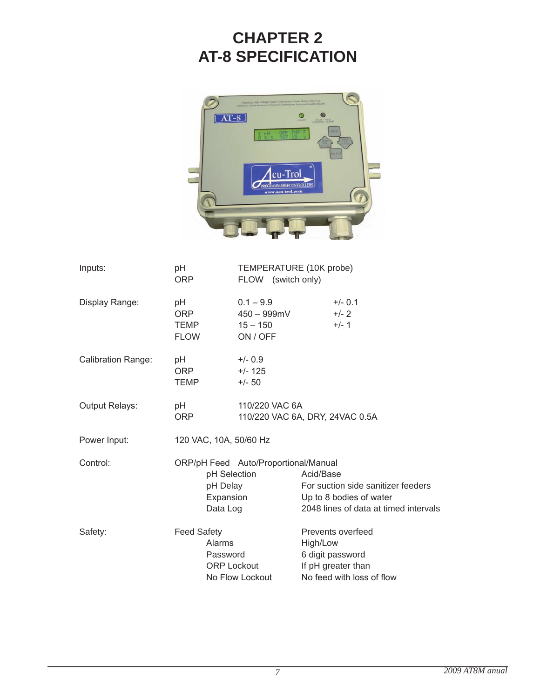## **ChApTEr 2 AT-8 SpECIFICATION**



| Inputs:                   | pH<br>ORP                                       | FLOW (switch only)                                   | TEMPERATURE (10K probe)                                                                                             |
|---------------------------|-------------------------------------------------|------------------------------------------------------|---------------------------------------------------------------------------------------------------------------------|
| Display Range:            | рH<br>ORP.<br>TEMP<br><b>FLOW</b>               | $0.1 - 9.9$<br>450 – 999mV<br>$15 - 150$<br>ON / OFF | $+/- 0.1$<br>$+/- 2$<br>$+/- 1$                                                                                     |
| <b>Calibration Range:</b> | рH<br><b>ORP</b><br>TEMP                        | $+/- 0.9$<br>$+/- 125$<br>$+/- 50$                   |                                                                                                                     |
| <b>Output Relays:</b>     | рH<br>ORP                                       | 110/220 VAC 6A                                       | 110/220 VAC 6A, DRY, 24VAC 0.5A                                                                                     |
| Power Input:              | 120 VAC, 10A, 50/60 Hz                          |                                                      |                                                                                                                     |
| Control:                  | pH Delay<br>Expansion<br>Data Log               | ORP/pH Feed Auto/Proportional/Manual<br>pH Selection | Acid/Base<br>For suction side sanitizer feeders<br>Up to 8 bodies of water<br>2048 lines of data at timed intervals |
| Safety:                   | <b>Feed Safety</b><br><b>Alarms</b><br>Password | <b>ORP Lockout</b><br>No Flow Lockout                | Prevents overfeed<br>High/Low<br>6 digit password<br>If pH greater than<br>No feed with loss of flow                |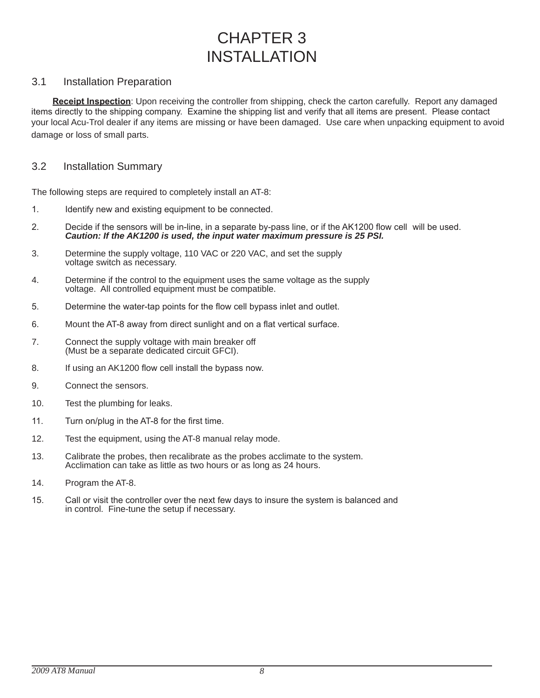## CHAPTER 3 INSTAllATION

#### 3.1 Installation Preparation

**Receipt Inspection**: Upon receiving the controller from shipping, check the carton carefully. Report any damaged items directly to the shipping company. Examine the shipping list and verify that all items are present. Please contact your local Acu-Trol dealer if any items are missing or have been damaged. Use care when unpacking equipment to avoid damage or loss of small parts.

#### 3.2 Installation Summary

The following steps are required to completely install an AT-8:

- 1. Identify new and existing equipment to be connected.
- 2. Decide if the sensors will be in-line, in a separate by-pass line, or if the AK1200 flow cell will be used. *Caution: If the AK1200 is used, the input water maximum pressure is 25 PSI.*
- 3. Determine the supply voltage, 110 VAC or 220 VAC, and set the supply voltage switch as necessary.
- 4. Determine if the control to the equipment uses the same voltage as the supply voltage. All controlled equipment must be compatible.
- 5. Determine the water-tap points for the flow cell bypass inlet and outlet.
- 6. Mount the AT-8 away from direct sunlight and on a flat vertical surface.
- 7. Connect the supply voltage with main breaker off (Must be a separate dedicated circuit GFCI).
- 8. If using an AK1200 flow cell install the bypass now.
- 9. Connect the sensors.
- 10. Test the plumbing for leaks.
- 11. Turn on/plug in the AT-8 for the first time.
- 12. Test the equipment, using the AT-8 manual relay mode.
- 13. Calibrate the probes, then recalibrate as the probes acclimate to the system. Acclimation can take as little as two hours or as long as 24 hours.
- 14. Program the AT-8.
- 15. Call or visit the controller over the next few days to insure the system is balanced and in control. Fine-tune the setup if necessary.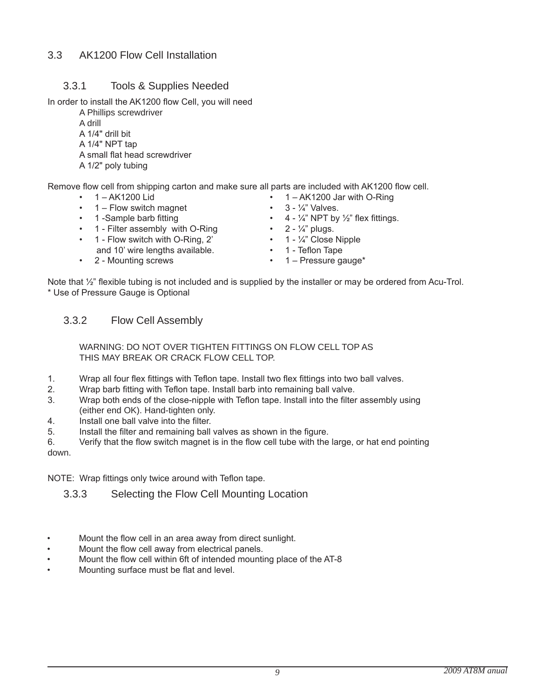## 3.3 AK1200 Flow Cell Installation

## 3.3.1 Tools & Supplies Needed

In order to install the AK1200 flow Cell, you will need

A Phillips screwdriver A drill A 1/4" drill bit A 1/4" NPT tap A small flat head screwdriver A 1/2" poly tubing

Remove flow cell from shipping carton and make sure all parts are included with AK1200 flow cell.

- 
- 1 Flow switch magnet 3  $\frac{1}{4}$  Valves.<br>• 1 -Sample barb fitting 4  $\frac{1}{4}$  NPT by
- 
- $\cdot$  1 Filter assembly with O-Ring
- 1 Flow switch with O-Ring,  $2'$  1  $\frac{1}{4}$ " Close Nipple and 10' wire lengths available. • 1 - Teflon Tape
- 2 Mounting screws 1 Pressure gauge\*
- 1 AK1200 Lid 1 AK1200 Jar with O-Ring
	-
	- $4 \frac{1}{4}$ " NPT by  $\frac{1}{2}$ " flex fittings.<br>•  $2 \frac{1}{4}$ " plugs.
	-
	-
	-
	-

Note that  $\frac{1}{2}$ " flexible tubing is not included and is supplied by the installer or may be ordered from Acu-Trol. \* Use of Pressure Gauge is Optional

### 3.3.2 Flow Cell Assembly

 WARNINg: dO NOT OVER TIgHTEN FITTINgS ON FlOW CEll TOP AS THIS mAY bREAK OR CRACK FlOW CEll TOP.

- 1. Wrap all four flex fittings with Teflon tape. Install two flex fittings into two ball valves.
- 2. Wrap barb fitting with Teflon tape. Install barb into remaining ball valve.
- 3. Wrap both ends of the close-nipple with Teflon tape. Install into the filter assembly using (either end OK). Hand-tighten only.
- 4. Install one ball valve into the filter.
- 5. Install the filter and remaining ball valves as shown in the figure.

6. Verify that the flow switch magnet is in the flow cell tube with the large, or hat end pointing down.

NOTE: Wrap fittings only twice around with Teflon tape.

3.3.3 Selecting the Flow Cell mounting location

- Mount the flow cell in an area away from direct sunlight.
- Mount the flow cell away from electrical panels.
- Mount the flow cell within 6ft of intended mounting place of the AT-8
- Mounting surface must be flat and level.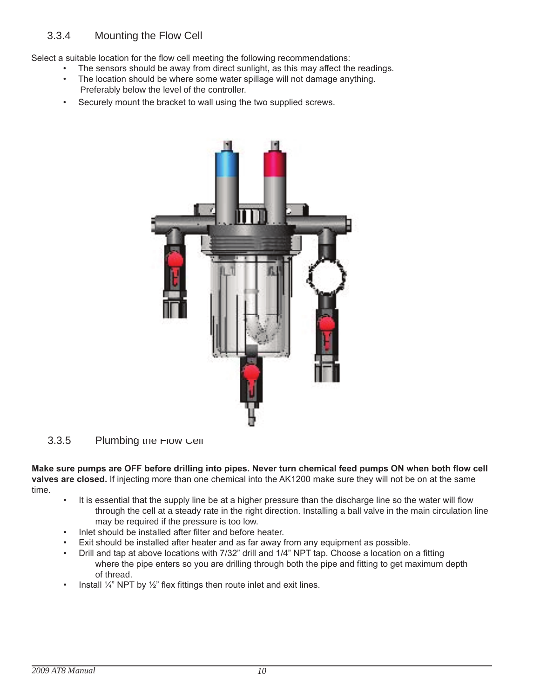Select a suitable location for the flow cell meeting the following recommendations:

- The sensors should be away from direct sunlight, as this may affect the readings.
- The location should be where some water spillage will not damage anything. Preferably below the level of the controller.
- Securely mount the bracket to wall using the two supplied screws.



#### 3.3.5 Plumbing the Flow Cell

**Make sure pumps are OFF before drilling into pipes. Never turn chemical feed pumps ON when both flow cell valves are closed.** If injecting more than one chemical into the AK1200 make sure they will not be on at the same time.

- It is essential that the supply line be at a higher pressure than the discharge line so the water will flow through the cell at a steady rate in the right direction. Installing a ball valve in the main circulation line may be required if the pressure is too low.
- Inlet should be installed after filter and before heater.
- Exit should be installed after heater and as far away from any equipment as possible.
- Drill and tap at above locations with 7/32" drill and 1/4" NPT tap. Choose a location on a fitting where the pipe enters so you are drilling through both the pipe and fitting to get maximum depth of thread.
- Install  $\frac{1}{4}$ " NPT by  $\frac{1}{2}$ " flex fittings then route inlet and exit lines.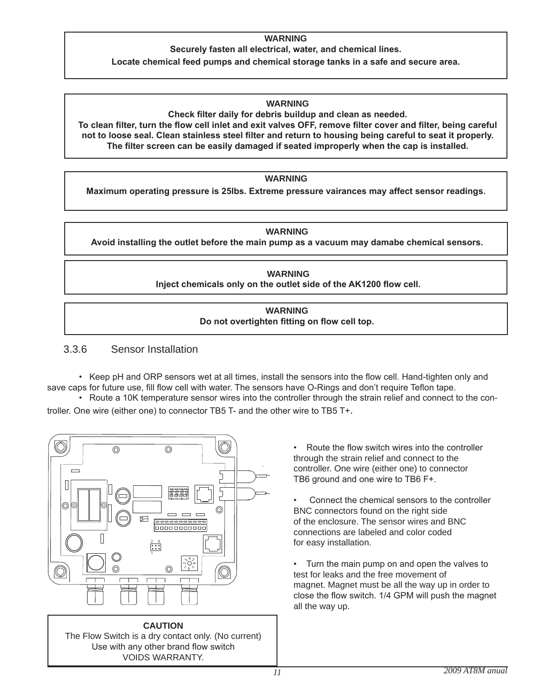#### **WArNINg**

**Securely fasten all electrical, water, and chemical lines.** 

**Locate chemical feed pumps and chemical storage tanks in a safe and secure area.** 

#### **WArNINg**

**Check filter daily for debris buildup and clean as needed. To clean filter, turn the flow cell inlet and exit valves OFF, remove filter cover and filter, being careful not to loose seal. Clean stainless steel filter and return to housing being careful to seat it properly. The filter screen can be easily damaged if seated improperly when the cap is installed.** 

#### **WArNINg**

**Maximum operating pressure is 25lbs. Extreme pressure vairances may affect sensor readings**.

#### **WArNINg**

**Avoid installing the outlet before the main pump as a vacuum may damabe chemical sensors.**

#### **WArNINg Inject chemicals only on the outlet side of the AK1200 flow cell.**

#### **WArNINg Do not overtighten fitting on flow cell top.**

#### 3.3.6 Sensor Installation

 • Keep pH and ORP sensors wet at all times, install the sensors into the flow cell. Hand-tighten only and save caps for future use, fill flow cell with water. The sensors have O-Rings and don't require Teflon tape.

 • Route a 10K temperature sensor wires into the controller through the strain relief and connect to the controller. One wire (either one) to connector TB5 T- and the other wire to TB5 T+.





Route the flow switch wires into the controller through the strain relief and connect to the controller. One wire (either one) to connector TB6 ground and one wire to TB6 F+.

Connect the chemical sensors to the controller bNC connectors found on the right side of the enclosure. The sensor wires and bNC connections are labeled and color coded for easy installation.

• Turn the main pump on and open the valves to test for leaks and the free movement of magnet. Magnet must be all the way up in order to close the flow switch. 1/4 GPM will push the magnet all the way up.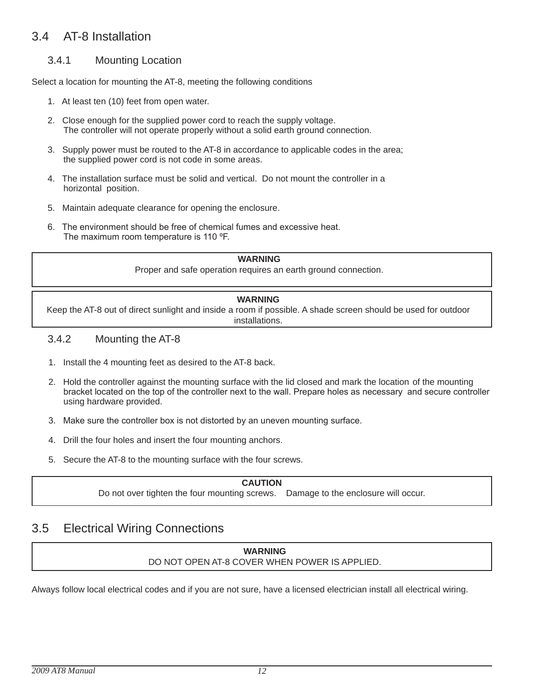## 3.4 AT-8 Installation

### 3.4.1 mounting location

Select a location for mounting the AT-8, meeting the following conditions

- 1. At least ten (10) feet from open water.
- 2. Close enough for the supplied power cord to reach the supply voltage. The controller will not operate properly without a solid earth ground connection.
- 3. Supply power must be routed to the AT-8 in accordance to applicable codes in the area; the supplied power cord is not code in some areas.
- 4. The installation surface must be solid and vertical. Do not mount the controller in a horizontal position.
- 5. maintain adequate clearance for opening the enclosure.
- 6. The environment should be free of chemical fumes and excessive heat. The maximum room temperature is 110 ºF.

#### **WArNINg**

Proper and safe operation requires an earth ground connection.

#### **WArNINg**

Keep the AT-8 out of direct sunlight and inside a room if possible. A shade screen should be used for outdoor installations.

#### 3.4.2 mounting the AT-8

- 1. Install the 4 mounting feet as desired to the AT-8 back.
- 2. Hold the controller against the mounting surface with the lid closed and mark the location of the mounting bracket located on the top of the controller next to the wall. Prepare holes as necessary and secure controller using hardware provided.
- 3. Make sure the controller box is not distorted by an uneven mounting surface.
- 4. Drill the four holes and insert the four mounting anchors.
- 5. Secure the AT-8 to the mounting surface with the four screws.

#### **CAuTION**

Do not over tighten the four mounting screws. Damage to the enclosure will occur.

## 3.5 Electrical Wiring Connections

#### **WArNINg** dO NOT OPEN AT-8 COVER WHEN POWER IS APPlIEd.

Always follow local electrical codes and if you are not sure, have a licensed electrician install all electrical wiring.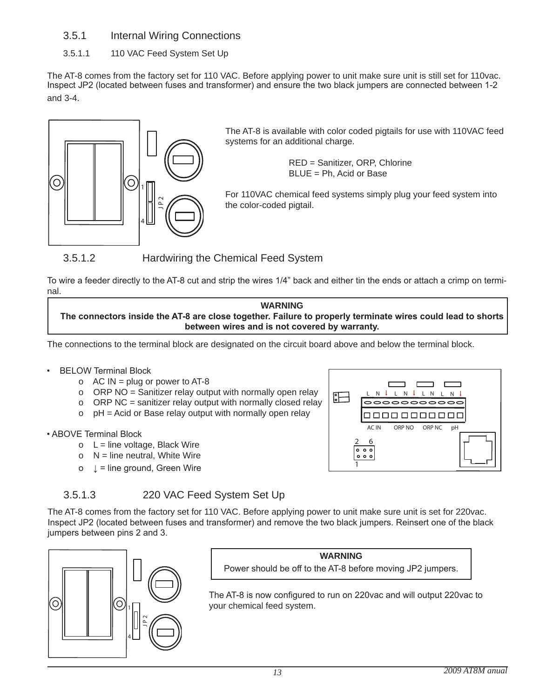- 3.5.1 Internal Wiring Connections
- 3.5.1.1 110 VAC Feed System Set Up

The AT-8 comes from the factory set for 110 VAC. Before applying power to unit make sure unit is still set for 110vac. Inspect JP2 (located between fuses and transformer) and ensure the two black jumpers are connected between 1-2 and 3-4.



The AT-8 is available with color coded pigtails for use with 110VAC feed systems for an additional charge.

> REd = Sanitizer, ORP, Chlorine  $BLUE = Ph$ . Acid or Base

For 110VAC chemical feed systems simply plug your feed system into the color-coded pigtail.

3.5.1.2 Hardwiring the Chemical Feed System

To wire a feeder directly to the AT-8 cut and strip the wires 1/4" back and either tin the ends or attach a crimp on terminal.

**WArNINg The connectors inside the AT-8 are close together. Failure to properly terminate wires could lead to shorts between wires and is not covered by warranty.** 

The connections to the terminal block are designated on the circuit board above and below the terminal block.

### • BELOW Terminal Block

- o  $AC IN = plug$  or power to AT-8
- o ORP NO = Sanitizer relay output with normally open relay
- o ORP NC = sanitizer relay output with normally closed relay
- $o$  pH = Acid or Base relay output with normally open relay

• ABOVE Terminal Block

- $o$  L = line voltage, Black Wire
- $O$  N = line neutral, White Wire
- o ↓ = line ground, Green Wire



3.5.1.3 220 VAC Feed System Set Up

The AT-8 comes from the factory set for 110 VAC. Before applying power to unit make sure unit is set for 220vac. Inspect JP2 (located between fuses and transformer) and remove the two black jumpers. Reinsert one of the black jumpers between pins 2 and 3.



**WArNINg** Power should be off to the AT-8 before moving JP2 jumpers.

The AT-8 is now configured to run on 220vac and will output 220vac to your chemical feed system.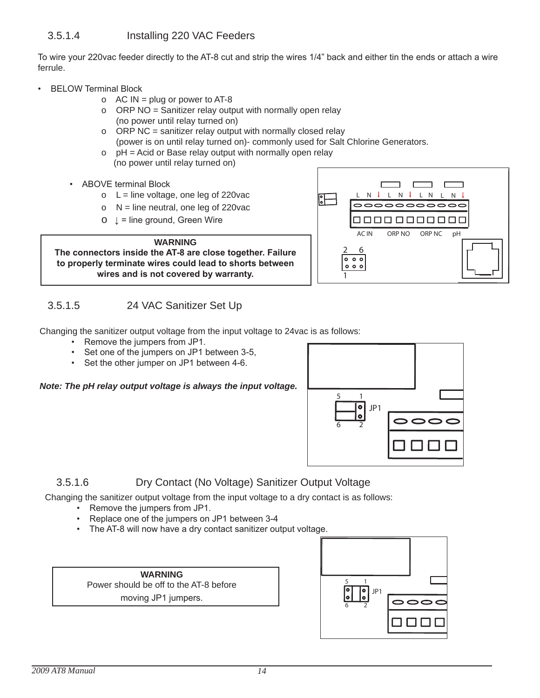To wire your 220vac feeder directly to the AT-8 cut and strip the wires 1/4" back and either tin the ends or attach a wire ferrule.

- BELOW Terminal Block
	- o  $AC IN = plug$  or power to AT-8
	- o ORP NO = Sanitizer relay output with normally open relay (no power until relay turned on)
	- o ORP NC = sanitizer relay output with normally closed relay (power is on until relay turned on)- commonly used for Salt Chlorine Generators.
	- $o$   $pH = Acid$  or Base relay output with normally open relay (no power until relay turned on)
	- ABOVE terminal Block
		- $O<sub>l</sub> = line voltage, one leg of 220vac$
		- o  $N =$  line neutral, one leg of 220 vac
		- $O \quad \downarrow$  = line ground, Green Wire



## 3.5.1.5 24 VAC Sanitizer Set Up

Changing the sanitizer output voltage from the input voltage to 24vac is as follows:

- Remove the jumpers from JP1.
- Set one of the jumpers on JP1 between 3-5,
- Set the other jumper on JP1 between 4-6.

*Note: The pH relay output voltage is always the input voltage.*



AC IN ORP NO ORP NC pH

L N L N L N L N

 $\overline{\circ\circ\circ\circ\circ\circ\circ\circ}$ 00000000000

1

 $\frac{2}{0}$ 

 $000$ 

## 3.5.1.6 dry Contact (No Voltage) Sanitizer Output Voltage

Changing the sanitizer output voltage from the input voltage to a dry contact is as follows:

- Remove the jumpers from JP1.
- Replace one of the jumpers on JP1 between 3-4
- The AT-8 will now have a dry contact sanitizer output voltage.

**WArNINg** Power should be off to the AT-8 before moving JP1 jumpers.

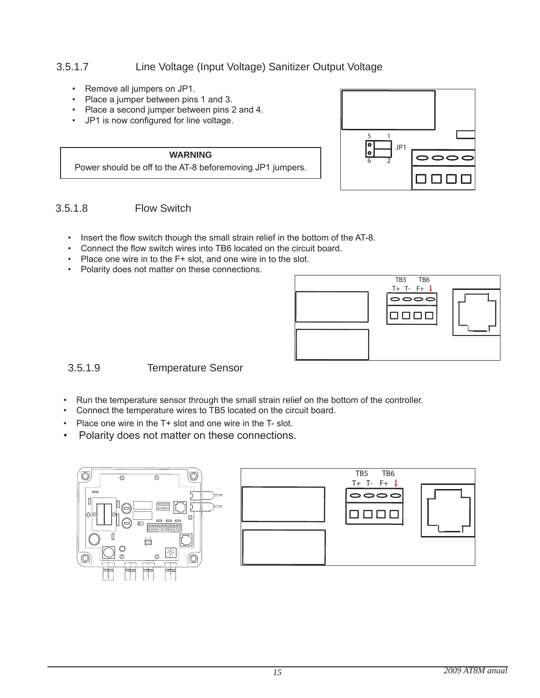## 3.5.1.7 Line Voltage (Input Voltage) Sanitizer Output Voltage

- Remove all jumpers on JP1.
- Place a jumper between pins 1 and 3.
- Place a second jumper between pins 2 and 4.
- JP1 is now configured for line voltage.

**WArNINg** Power should be off to the AT-8 beforemoving JP1 jumpers.



### 3.5.1.8 Flow Switch

- Insert the flow switch though the small strain relief in the bottom of the AT-8.
- Connect the flow switch wires into TB6 located on the circuit board.
- Place one wire in to the F+ slot, and one wire in to the slot.
- Polarity does not matter on these connections.



### 3.5.1.9 Temperature Sensor

- Run the temperature sensor through the small strain relief on the bottom of the controller.
- Connect the temperature wires to TB5 located on the circuit board.
- Place one wire in the T+ slot and one wire in the T- slot.
- Polarity does not matter on these connections.

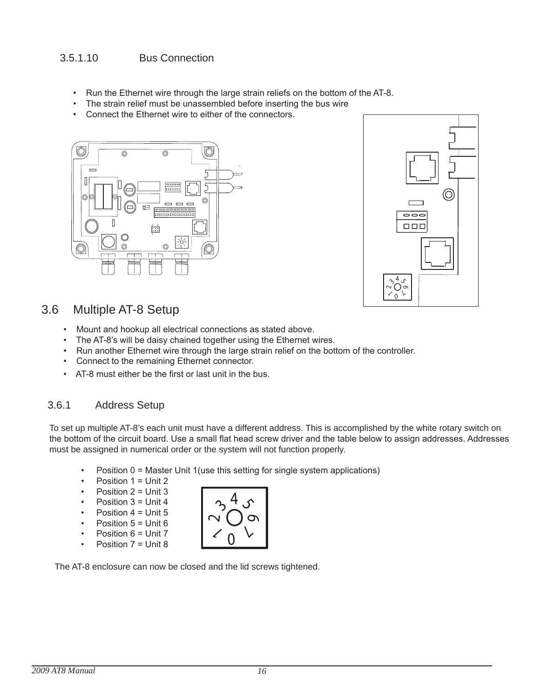## 3.5.1.10 bus Connection

- Run the Ethernet wire through the large strain reliefs on the bottom of the AT-8.
- The strain relief must be unassembled before inserting the bus wire
- Connect the Ethernet wire to either of the connectors.





## 3.6 multiple AT-8 Setup

- Mount and hookup all electrical connections as stated above.
- The AT-8's will be daisy chained together using the Ethernet wires.
- Run another Ethernet wire through the large strain relief on the bottom of the controller.
- Connect to the remaining Ethernet connector.
- AT-8 must either be the first or last unit in the bus.

## 3.6.1 Address Setup

To set up multiple AT-8's each unit must have a different address. This is accomplished by the white rotary switch on the bottom of the circuit board. Use a small flat head screw driver and the table below to assign addresses. Addresses must be assigned in numerical order or the system will not function properly.

- Position 0 = Master Unit 1(use this setting for single system applications)
- Position  $1 =$  Unit 2
- Position  $2 =$  Unit 3
- Position  $3 =$  Unit 4
- Position  $4 =$  Unit 5
- Position  $5 =$  Unit 6
- Position 6 = Unit 7
- Position 7 = Unit 8



The AT-8 enclosure can now be closed and the lid screws tightened.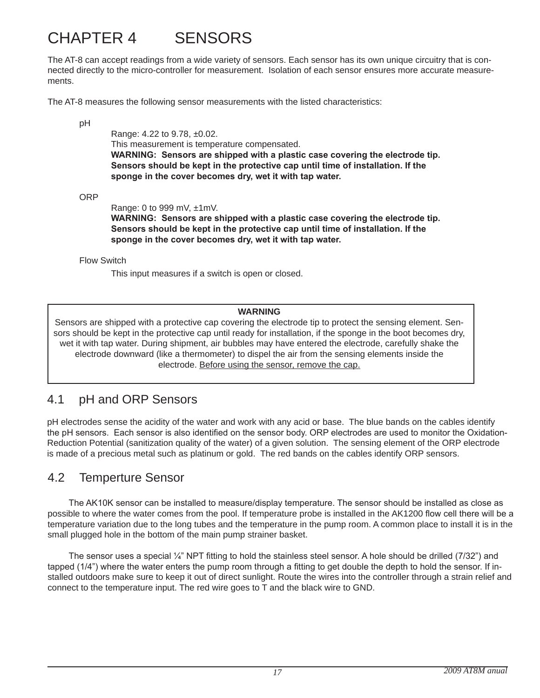## CHAPTER 4 SENSORS

The AT-8 can accept readings from a wide variety of sensors. Each sensor has its own unique circuitry that is connected directly to the micro-controller for measurement. Isolation of each sensor ensures more accurate measurements.

The AT-8 measures the following sensor measurements with the listed characteristics:

pH

 Range: 4.22 to 9.78, ±0.02. This measurement is temperature compensated.  **WARNING: Sensors are shipped with a plastic case covering the electrode tip. Sensors should be kept in the protective cap until time of installation. If the sponge in the cover becomes dry, wet it with tap water.**

ORP

Range: 0 to 999 mV, ±1mV.

 **WARNING: Sensors are shipped with a plastic case covering the electrode tip. Sensors should be kept in the protective cap until time of installation. If the sponge in the cover becomes dry, wet it with tap water.** 

Flow Switch

This input measures if a switch is open or closed.

#### **WArNINg**

Sensors are shipped with a protective cap covering the electrode tip to protect the sensing element. Sensors should be kept in the protective cap until ready for installation, if the sponge in the boot becomes dry, wet it with tap water. During shipment, air bubbles may have entered the electrode, carefully shake the electrode downward (like a thermometer) to dispel the air from the sensing elements inside the electrode. before using the sensor, remove the cap.

## 4.1 pH and ORP Sensors

pH electrodes sense the acidity of the water and work with any acid or base. The blue bands on the cables identify the pH sensors. Each sensor is also identified on the sensor body. ORP electrodes are used to monitor the Oxidation-Reduction Potential (sanitization quality of the water) of a given solution. The sensing element of the ORP electrode is made of a precious metal such as platinum or gold. The red bands on the cables identify ORP sensors.

## 4.2 Temperture Sensor

The AK10K sensor can be installed to measure/display temperature. The sensor should be installed as close as possible to where the water comes from the pool. If temperature probe is installed in the AK1200 flow cell there will be a temperature variation due to the long tubes and the temperature in the pump room. A common place to install it is in the small plugged hole in the bottom of the main pump strainer basket.

The sensor uses a special ¼" NPT fitting to hold the stainless steel sensor. A hole should be drilled (7/32") and tapped (1/4") where the water enters the pump room through a fitting to get double the depth to hold the sensor. If installed outdoors make sure to keep it out of direct sunlight. Route the wires into the controller through a strain relief and connect to the temperature input. The red wire goes to  $T$  and the black wire to GND.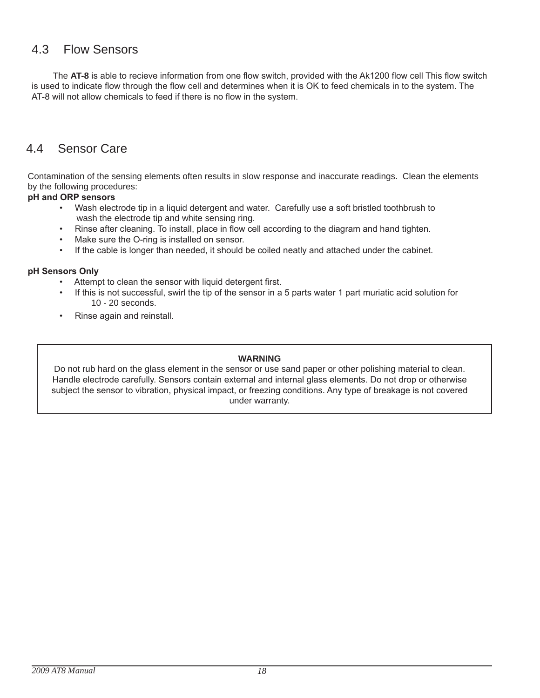## 4.3 Flow Sensors

The **AT-8** is able to recieve information from one flow switch, provided with the Ak1200 flow cell This flow switch is used to indicate flow through the flow cell and determines when it is OK to feed chemicals in to the system. The AT-8 will not allow chemicals to feed if there is no flow in the system.

## 4.4 Sensor Care

Contamination of the sensing elements often results in slow response and inaccurate readings. Clean the elements by the following procedures:

#### **pH and ORP sensors**

- Wash electrode tip in a liquid detergent and water. Carefully use a soft bristled toothbrush to wash the electrode tip and white sensing ring.
- Rinse after cleaning. To install, place in flow cell according to the diagram and hand tighten.
- Make sure the O-ring is installed on sensor.
- If the cable is longer than needed, it should be coiled neatly and attached under the cabinet.

#### **pH Sensors Only**

- Attempt to clean the sensor with liquid detergent first.
- If this is not successful, swirl the tip of the sensor in a 5 parts water 1 part muriatic acid solution for 10 - 20 seconds.
- Rinse again and reinstall.

#### **WArNINg**

Do not rub hard on the glass element in the sensor or use sand paper or other polishing material to clean. Handle electrode carefully. Sensors contain external and internal glass elements. Do not drop or otherwise subject the sensor to vibration, physical impact, or freezing conditions. Any type of breakage is not covered under warranty.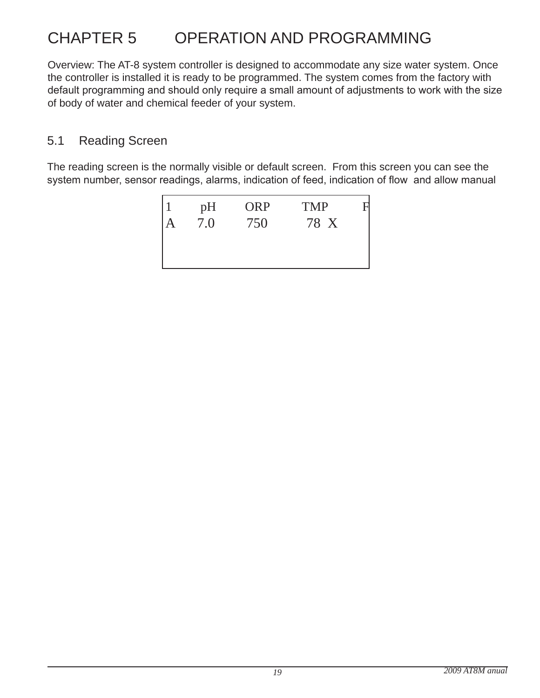## CHAPTER 5 OPERATION ANd PROgRAmmINg

Overview: The AT-8 system controller is designed to accommodate any size water system. Once the controller is installed it is ready to be programmed. The system comes from the factory with default programming and should only require a small amount of adjustments to work with the size of body of water and chemical feeder of your system.

## 5.1 Reading Screen

The reading screen is the normally visible or default screen. From this screen you can see the system number, sensor readings, alarms, indication of feed, indication of flow and allow manual

| pH  | <b>ORP</b> | <b>TMP</b> |  |
|-----|------------|------------|--|
| 7.0 | 750        | 78 X       |  |
|     |            |            |  |
|     |            |            |  |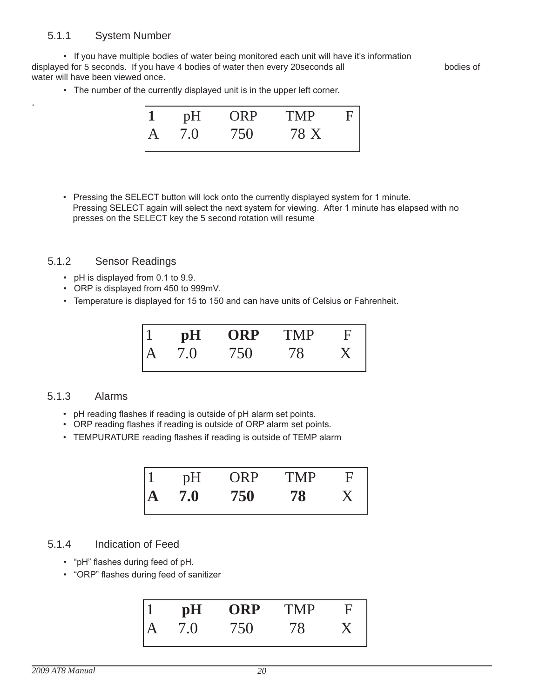### 5.1.1 System Number

.

• If you have multiple bodies of water being monitored each unit will have it's information displayed for 5 seconds. If you have 4 bodies of water then every 20seconds all bodies of water will have been viewed once.

• The number of the currently displayed unit is in the upper left corner.



 • Pressing the SELECT button will lock onto the currently displayed system for 1 minute. Pressing SELECT again will select the next system for viewing. After 1 minute has elapsed with no presses on the SElECT key the 5 second rotation will resume

#### 5.1.2 Sensor Readings

- pH is displayed from 0.1 to 9.9.
- ORP is displayed from 450 to 999mV.
- Temperature is displayed for 15 to 150 and can have units of Celsius or Fahrenheit.

| pH  | <b>ORP</b> | <b>TMP</b> | F |
|-----|------------|------------|---|
| 7.0 | 750        | 18         |   |

#### 5.1.3 Alarms

- pH reading flashes if reading is outside of pH alarm set points.
- ORP reading flashes if reading is outside of ORP alarm set points.
- TEMPURATURE reading flashes if reading is outside of TEMP alarm

| pH  | ORP | TMP |  |
|-----|-----|-----|--|
| 7.0 | 750 | 78  |  |

#### 5.1.4 Indication of Feed

- "pH" flashes during feed of pH.
- "ORP" flashes during feed of sanitizer

| pH | ORP | 'MP |  |
|----|-----|-----|--|
|    | 150 |     |  |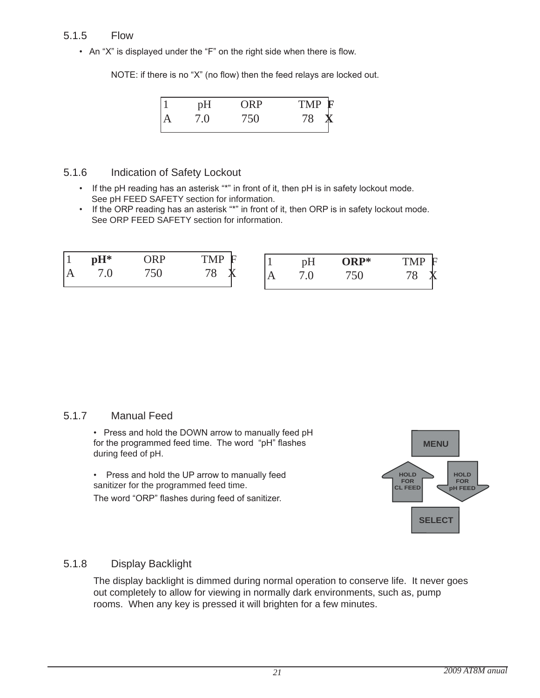### 5.1.5 Flow

• An "X" is displayed under the "F" on the right side when there is flow.

NOTE: if there is no "X" (no flow) then the feed relays are locked out.



#### 5.1.6 Indication of Safety lockout

- If the pH reading has an asterisk "\*" in front of it, then pH is in safety lockout mode. See pH FEED SAFETY section for information.
- If the ORP reading has an asterisk "\*" in front of it, then ORP is in safety lockout mode. See ORP FEED SAFETY section for information.

| $\overline{1}$ | $pH*$<br>$\cdot$ | <b>IRP</b><br><b>TTT</b><br>750 | <b>TMP</b><br>旧 | pН<br>$\cdot$ $\circ$ | ORP*<br>750 | <b>TMP</b><br>旧 |
|----------------|------------------|---------------------------------|-----------------|-----------------------|-------------|-----------------|
|                |                  |                                 |                 |                       |             |                 |

### 5.1.7 manual Feed

• Press and hold the DOWN arrow to manually feed pH for the programmed feed time. The word "pH" flashes during feed of pH.

• Press and hold the UP arrow to manually feed sanitizer for the programmed feed time. The word "ORP" flashes during feed of sanitizer.



### 5.1.8 Display Backlight

The display backlight is dimmed during normal operation to conserve life. It never goes out completely to allow for viewing in normally dark environments, such as, pump rooms. When any key is pressed it will brighten for a few minutes.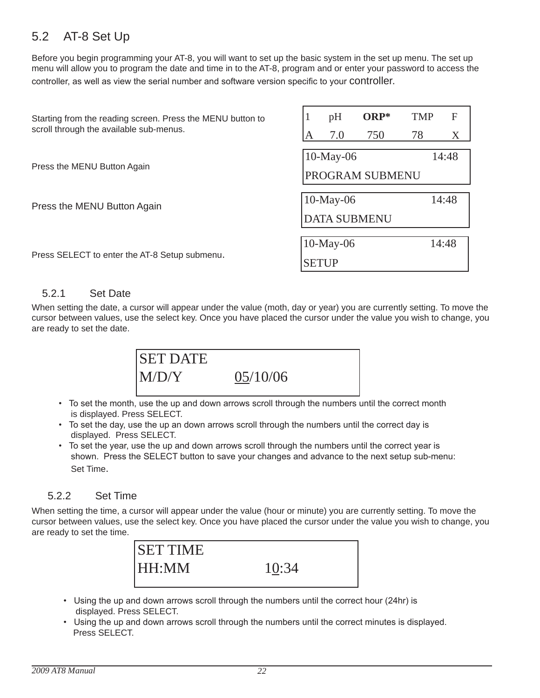## 5.2 AT-8 Set Up

before you begin programming your AT-8, you will want to set up the basic system in the set up menu. The set up menu will allow you to program the date and time in to the AT-8, program and or enter your password to access the controller, as well as view the serial number and software version specific to your controller.

| Starting from the reading screen. Press the MENU button to | pH                  | $ORP*$ | <b>TMP</b> | F     |  |
|------------------------------------------------------------|---------------------|--------|------------|-------|--|
| scroll through the available sub-menus.                    | 7.0                 | 750    | 78         | X     |  |
| Press the MENU Button Again                                | $10$ -May-06        |        |            | 14:48 |  |
|                                                            | PROGRAM SUBMENU     |        |            |       |  |
| Press the MENU Button Again                                | $10$ -May-06        |        |            | 14:48 |  |
|                                                            | <b>DATA SUBMENU</b> |        |            |       |  |
|                                                            | $10$ -May-06        |        |            | 14:48 |  |
| Press SELECT to enter the AT-8 Setup submenu.              | <b>SETUP</b>        |        |            |       |  |

#### 5.2.1 Set Date

When setting the date, a cursor will appear under the value (moth, day or year) you are currently setting. To move the cursor between values, use the select key. Once you have placed the cursor under the value you wish to change, you are ready to set the date.



- To set the month, use the up and down arrows scroll through the numbers until the correct month is displayed. Press SElECT.
- To set the day, use the up an down arrows scroll through the numbers until the correct day is displayed. Press SElECT.
- To set the year, use the up and down arrows scroll through the numbers until the correct year is shown. Press the SELECT button to save your changes and advance to the next setup sub-menu: Set Time.

### 5.2.2 Set Time

When setting the time, a cursor will appear under the value (hour or minute) you are currently setting. To move the cursor between values, use the select key. Once you have placed the cursor under the value you wish to change, you are ready to set the time.



- Using the up and down arrows scroll through the numbers until the correct hour (24hr) is displayed. Press SElECT.
- Using the up and down arrows scroll through the numbers until the correct minutes is displayed. Press SElECT.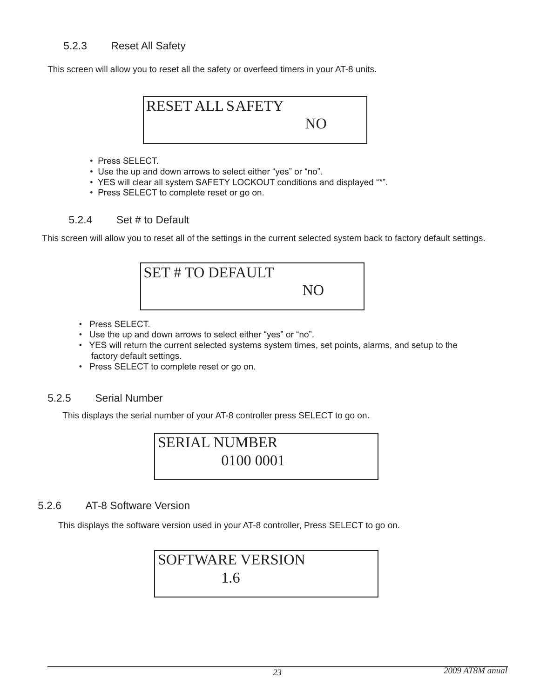This screen will allow you to reset all the safety or overfeed timers in your AT-8 units.



- Press SELECT.
- Use the up and down arrows to select either "yes" or "no".
- YES will clear all system SAFETY LOCKOUT conditions and displayed "\*".
- Press SELECT to complete reset or go on.

### 5.2.4 Set # to Default

This screen will allow you to reset all of the settings in the current selected system back to factory default settings.

| <b>SET #TO DEFAULT</b> |     |  |
|------------------------|-----|--|
|                        | NIC |  |
|                        |     |  |

- Press SELECT.
- Use the up and down arrows to select either "yes" or "no".
- YES will return the current selected systems system times, set points, alarms, and setup to the factory default settings.
- Press SELECT to complete reset or go on.

### 5.2.5 Serial Number

This displays the serial number of your AT-8 controller press SElECT to go on.

## SERIAL NUMBER 0100 0001

### 5.2.6 AT-8 Software Version

This displays the software version used in your AT-8 controller, Press SElECT to go on.

## SOFTWARE VERSION 1.6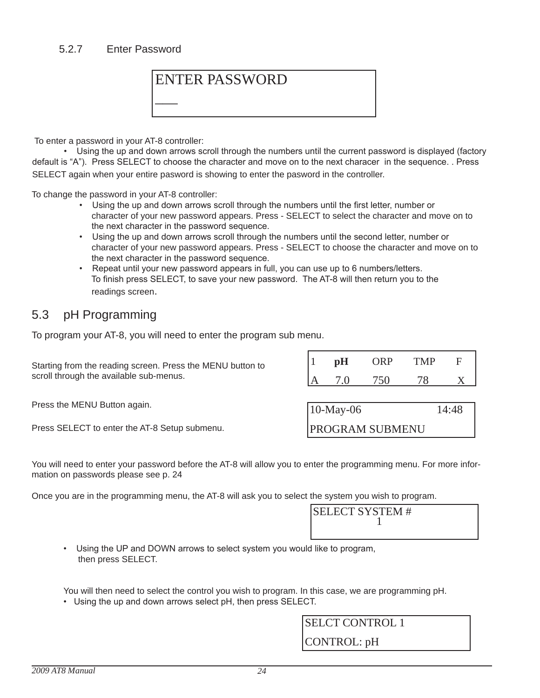#### 5.2.7 Enter Password



To enter a password in your AT-8 controller:

 • Using the up and down arrows scroll through the numbers until the current password is displayed (factory default is "A"). Press SELECT to choose the character and move on to the next characer in the sequence. . Press SElECT again when your entire pasword is showing to enter the pasword in the controller.

To change the password in your AT-8 controller:

- Using the up and down arrows scroll through the numbers until the first letter, number or character of your new password appears. Press - SElECT to select the character and move on to the next character in the password sequence.
- Using the up and down arrows scroll through the numbers until the second letter, number or character of your new password appears. Press - SElECT to choose the character and move on to the next character in the password sequence.
- Repeat until your new password appears in full, you can use up to 6 numbers/letters. To finish press SELECT, to save your new password. The AT-8 will then return you to the readings screen.

## 5.3 pH Programming

To program your AT-8, you will need to enter the program sub menu.

| Starting from the reading screen. Press the MENU button to | pH                     | ORP  | <b>TMP</b> | F     |
|------------------------------------------------------------|------------------------|------|------------|-------|
| scroll through the available sub-menus.                    |                        | 750. |            |       |
|                                                            |                        |      |            |       |
| Press the MENU Button again.                               | $10$ -May-06           |      |            | 14:48 |
| Press SELECT to enter the AT-8 Setup submenu.              | <b>PROGRAM SUBMENU</b> |      |            |       |

You will need to enter your password before the AT-8 will allow you to enter the programming menu. For more information on passwords please see p. 24

Once you are in the programming menu, the AT-8 will ask you to select the system you wish to program.

| <b>SELECT SYSTEM #</b> |  |
|------------------------|--|
|                        |  |
|                        |  |

 • Using the UP and DOWN arrows to select system you would like to program, then press SElECT.

You will then need to select the control you wish to program. In this case, we are programming pH.

• Using the up and down arrows select pH, then press SELECT.

SELCT CONTROL 1 CONTROL: pH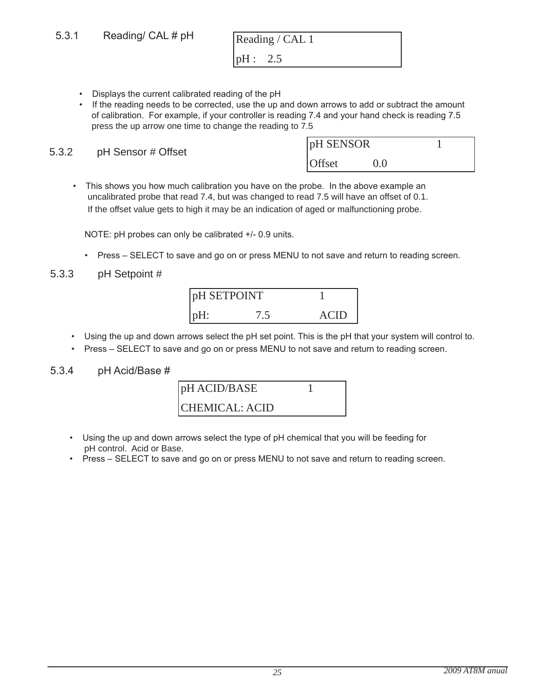- Displays the current calibrated reading of the pH
- If the reading needs to be corrected, use the up and down arrows to add or subtract the amount of calibration. For example, if your controller is reading 7.4 and your hand check is reading 7.5 press the up arrow one time to change the reading to 7.5

5.3.2 pH Sensor # Offset

| pH SENSOR     |      |  |
|---------------|------|--|
| <b>Offset</b> | ()() |  |

• This shows you how much calibration you have on the probe. In the above example an uncalibrated probe that read 7.4, but was changed to read 7.5 will have an offset of 0.1. If the offset value gets to high it may be an indication of aged or malfunctioning probe.

NOTE: pH probes can only be calibrated +/- 0.9 units.

• Press – SELECT to save and go on or press MENU to not save and return to reading screen.

5.3.3 pH Setpoint #

| pH SETPOINT |  |      |
|-------------|--|------|
|             |  | ACIE |

- Using the up and down arrows select the pH set point. This is the pH that your system will control to.
- Press SELECT to save and go on or press MENU to not save and return to reading screen.

#### 5.3.4 pH Acid/Base #



- Using the up and down arrows select the type of pH chemical that you will be feeding for pH control. Acid or Base.
- Press SELECT to save and go on or press MENU to not save and return to reading screen.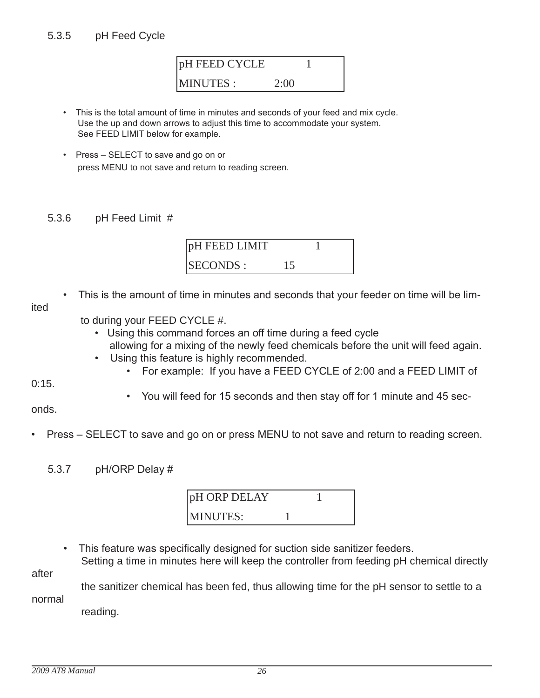

- This is the total amount of time in minutes and seconds of your feed and mix cycle. Use the up and down arrows to adjust this time to accommodate your system. See FEED LIMIT below for example.
- Press SELECT to save and go on or press mENU to not save and return to reading screen.

### 5.3.6 pH Feed limit #



• This is the amount of time in minutes and seconds that your feeder on time will be lim-

ited

- to during your FEED CYCLE #.
	- Using this command forces an off time during a feed cycle allowing for a mixing of the newly feed chemicals before the unit will feed again.
	- Using this feature is highly recommended.
		- For example: If you have a FEED CYCLE of 2:00 and a FEED LIMIT of

0:15.

• You will feed for 15 seconds and then stay off for 1 minute and 45 sec-

onds.

- Press SELECT to save and go on or press MENU to not save and return to reading screen.
	- 5.3.7 pH/ORP Delay #

| pH ORP DELAY    |  |  |
|-----------------|--|--|
| <b>MINUTES:</b> |  |  |

This feature was specifically designed for suction side sanitizer feeders. Setting a time in minutes here will keep the controller from feeding pH chemical directly

after

 the sanitizer chemical has been fed, thus allowing time for the pH sensor to settle to a normal

reading.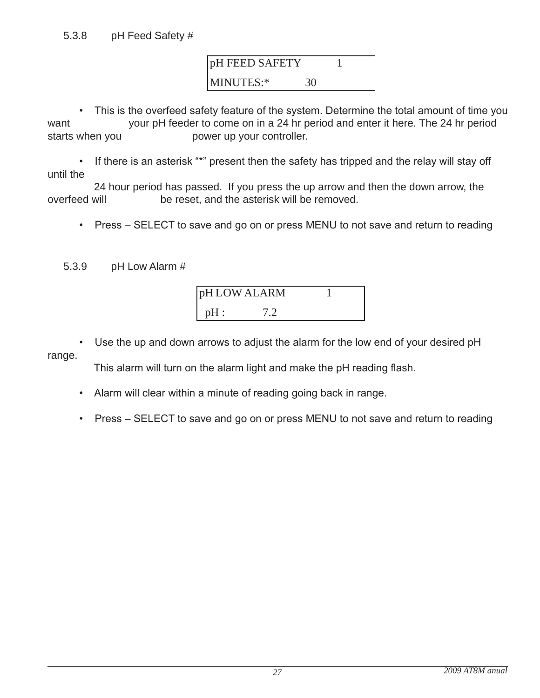pH FEED SAFETY 1 MINUTES:\* 30

• This is the overfeed safety feature of the system. Determine the total amount of time you want vour pH feeder to come on in a 24 hr period and enter it here. The 24 hr period starts when you **power** up your controller.

• If there is an asterisk "\*" present then the safety has tripped and the relay will stay off until the

24 hour period has passed. If you press the up arrow and then the down arrow, the overfeed will be reset, and the asterisk will be removed. be reset, and the asterisk will be removed.

• Press – SELECT to save and go on or press MENU to not save and return to reading

5.3.9 pH low Alarm #

|        | pH LOW ALARM |  |
|--------|--------------|--|
| $pH$ : |              |  |

• Use the up and down arrows to adjust the alarm for the low end of your desired pH range.

This alarm will turn on the alarm light and make the pH reading flash.

- Alarm will clear within a minute of reading going back in range.
- Press SELECT to save and go on or press MENU to not save and return to reading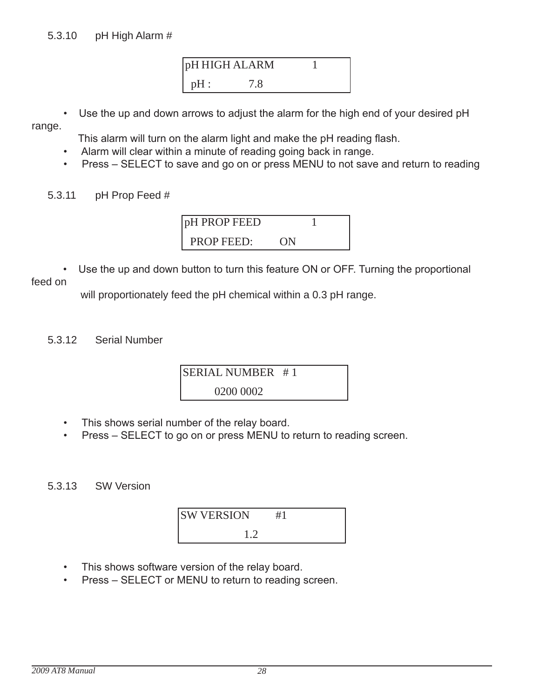

Use the up and down arrows to adjust the alarm for the high end of your desired pH

range.

This alarm will turn on the alarm light and make the pH reading flash.

- Alarm will clear within a minute of reading going back in range.
- Press SELECT to save and go on or press MENU to not save and return to reading
- 5.3.11 pH Prop Feed #

| <b>DH PROP FEED</b> |  |  |
|---------------------|--|--|
| <b>PROP FEED:</b>   |  |  |

Use the up and down button to turn this feature ON or OFF. Turning the proportional

feed on

will proportionately feed the pH chemical within a 0.3 pH range.

5.3.12 Serial Number



- This shows serial number of the relay board.
- Press SELECT to go on or press MENU to return to reading screen.

5.3.13 SW Version

SW VERSION #1 1.2

- This shows software version of the relay board.
- Press SELECT or MENU to return to reading screen.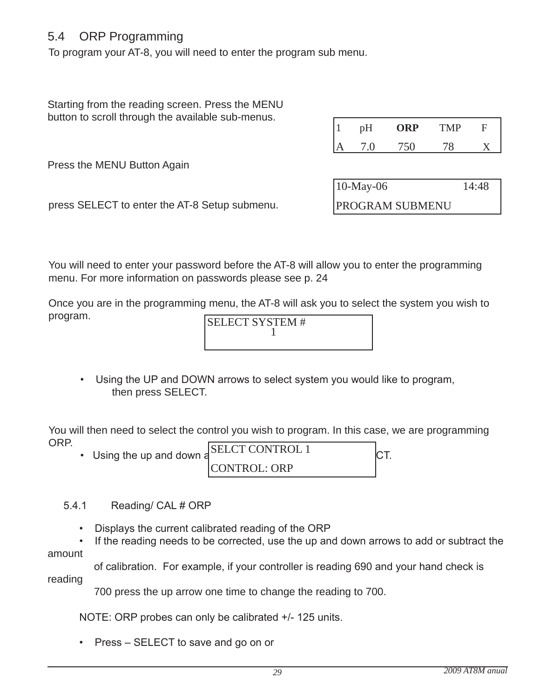## 5.4 ORP Programming

To program your AT-8, you will need to enter the program sub menu.

Starting from the reading screen. Press the MENU button to scroll through the available sub-menus.

| pH | ORP  | TMP | С |
|----|------|-----|---|
| 70 | 75 C | 70  |   |

Press the MENU Button Again

| $10$ -May-06           | 14:48 |
|------------------------|-------|
| <b>PROGRAM SUBMENU</b> |       |

press SElECT to enter the AT-8 Setup submenu.

You will need to enter your password before the AT-8 will allow you to enter the programming menu. For more information on passwords please see p. 24

Once you are in the programming menu, the AT-8 will ask you to select the system you wish to program.

SELECT SYSTEM # 1

 • Using the UP and DOWN arrows to select system you would like to program, then press SElECT.

You will then need to select the control you wish to program. In this case, we are programming ORP.

| ◡╷ ៶ ៲  . | • Using the up and down a | <b>SELCT CONTROL 1</b> |  |
|-----------|---------------------------|------------------------|--|
|           |                           | <b>CONTROL: ORP</b>    |  |

- 5.4.1 Reading/ CAL # ORP
	- Displays the current calibrated reading of the ORP

• If the reading needs to be corrected, use the up and down arrows to add or subtract the amount

 of calibration. For example, if your controller is reading 690 and your hand check is reading

700 press the up arrow one time to change the reading to 700.

NOTE: ORP probes can only be calibrated +/- 125 units.

• Press – SELECT to save and go on or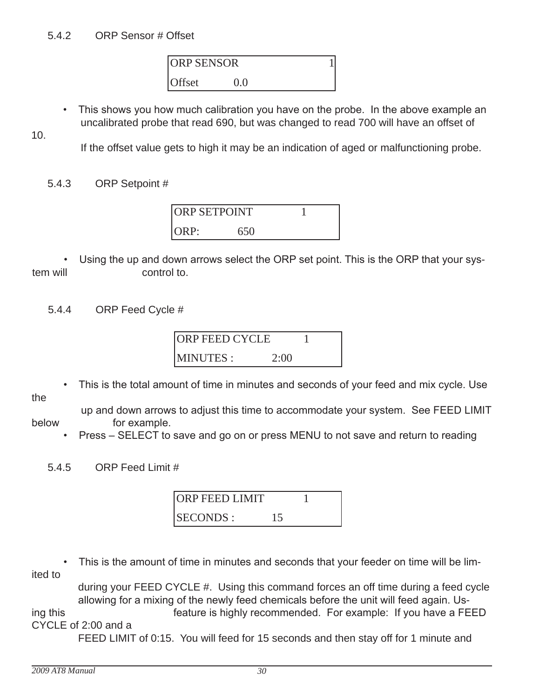ORP SENSOR 1 Offset 0.0

 • This shows you how much calibration you have on the probe. In the above example an uncalibrated probe that read 690, but was changed to read 700 will have an offset of

10.

If the offset value gets to high it may be an indication of aged or malfunctioning probe.

5.4.3 ORP Setpoint #



 • Using the up and down arrows select the ORP set point. This is the ORP that your system will example to control to.

5.4.4 ORP Feed Cycle #



• This is the total amount of time in minutes and seconds of your feed and mix cycle. Use

the

 up and down arrows to adjust this time to accommodate your system. See FEED LIMIT below for example.

• Press – SELECT to save and go on or press MENU to not save and return to reading

5.4.5 ORP Feed limit #



• This is the amount of time in minutes and seconds that your feeder on time will be limited to

 during your FEEd CYClE #. Using this command forces an off time during a feed cycle allowing for a mixing of the newly feed chemicals before the unit will feed again. Using this feature is highly recommended. For example: If you have a FEED CYClE of 2:00 and a

FEEd lImIT of 0:15. You will feed for 15 seconds and then stay off for 1 minute and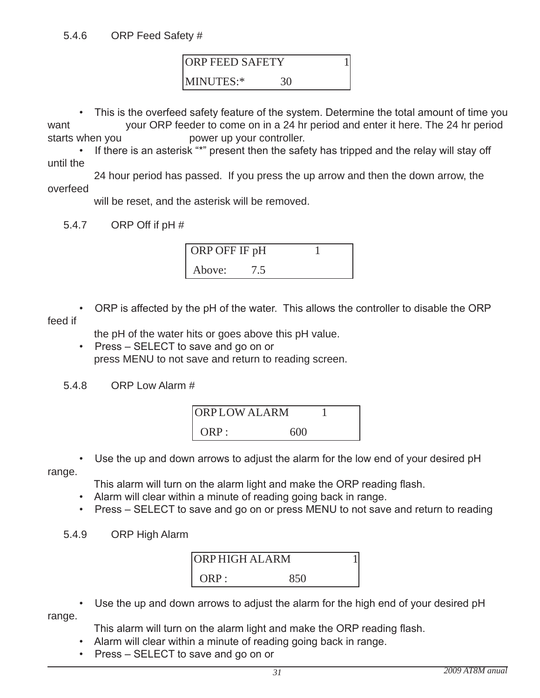ORP FEED SAFETY 1 MINUTES:\* 30

• This is the overfeed safety feature of the system. Determine the total amount of time you

want your ORP feeder to come on in a 24 hr period and enter it here. The 24 hr period starts when you bower up your controller.

• If there is an asterisk "\*" present then the safety has tripped and the relay will stay off until the

 24 hour period has passed. If you press the up arrow and then the down arrow, the overfeed

will be reset, and the asterisk will be removed.

5.4.7 ORP Off if pH #



 • ORP is affected by the pH of the water. This allows the controller to disable the ORP feed if

the pH of the water hits or goes above this pH value.

- Press SELECT to save and go on or press mENU to not save and return to reading screen.
- 5.4.8 ORP low Alarm #



• Use the up and down arrows to adjust the alarm for the low end of your desired pH

range.

This alarm will turn on the alarm light and make the ORP reading flash.

- Alarm will clear within a minute of reading going back in range.
- Press SELECT to save and go on or press MENU to not save and return to reading

### 5.4.9 ORP High Alarm



• Use the up and down arrows to adjust the alarm for the high end of your desired pH

range.

This alarm will turn on the alarm light and make the ORP reading flash.

- Alarm will clear within a minute of reading going back in range.
- Press SELECT to save and go on or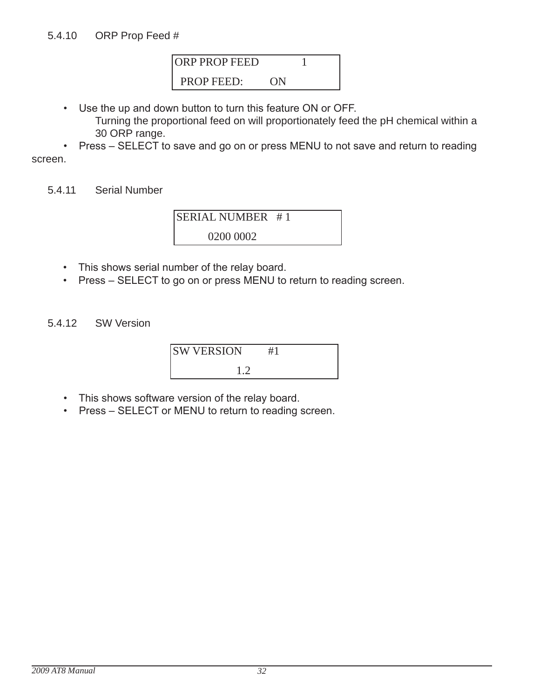

- Use the up and down button to turn this feature ON or OFF.
	- Turning the proportional feed on will proportionately feed the pH chemical within a 30 ORP range.

 • Press – SELECT to save and go on or press MENU to not save and return to reading screen.

5.4.11 Serial Number

SERIAL NUMBER # 1 0200 0002

- This shows serial number of the relay board.
- Press SELECT to go on or press MENU to return to reading screen.
- 5.4.12 SW Version

| <b>SW VERSION</b> |  |
|-------------------|--|
|                   |  |

- This shows software version of the relay board.
- Press SELECT or MENU to return to reading screen.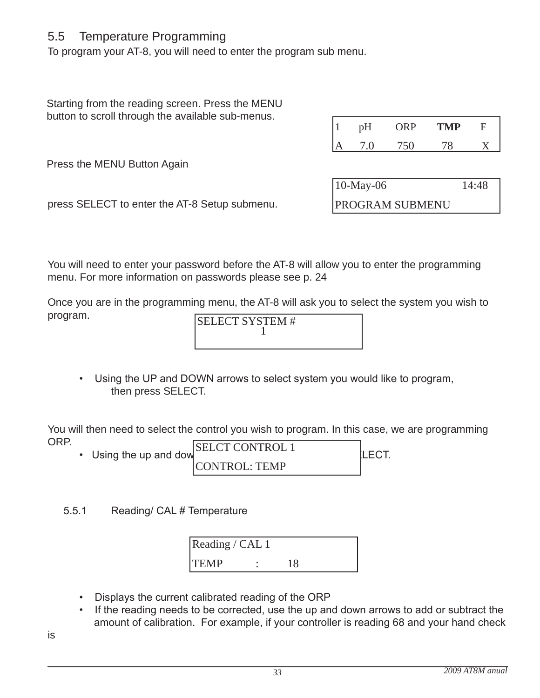## 5.5 Temperature Programming

To program your AT-8, you will need to enter the program sub menu.

Starting from the reading screen. Press the MENU button to scroll through the available sub-menus.

| pH     | ORP | <b>TMP</b> | C |
|--------|-----|------------|---|
| $\cap$ |     |            |   |

Press the MENU Button Again

| $10$ -May-06           | 14:48 |
|------------------------|-------|
| <b>PROGRAM SUBMENU</b> |       |

press SElECT to enter the AT-8 Setup submenu.

You will need to enter your password before the AT-8 will allow you to enter the programming menu. For more information on passwords please see p. 24

Once you are in the programming menu, the AT-8 will ask you to select the system you wish to program.

SELECT SYSTEM # 1

• Using the UP and DOWN arrows to select system you would like to program, then press SElECT.

You will then need to select the control you wish to program. In this case, we are programming ORP.

- Using the up and down  $\sum_{i=1}^{n}$ SELCT CONTROL 1 CONTROL: TEMP
- 5.5.1 Reading/ CAL # Temperature

| Reading / CAL 1 |  |  |
|-----------------|--|--|
| <b>ITEMP</b>    |  |  |

- Displays the current calibrated reading of the ORP
- If the reading needs to be corrected, use the up and down arrows to add or subtract the amount of calibration. For example, if your controller is reading 68 and your hand check

is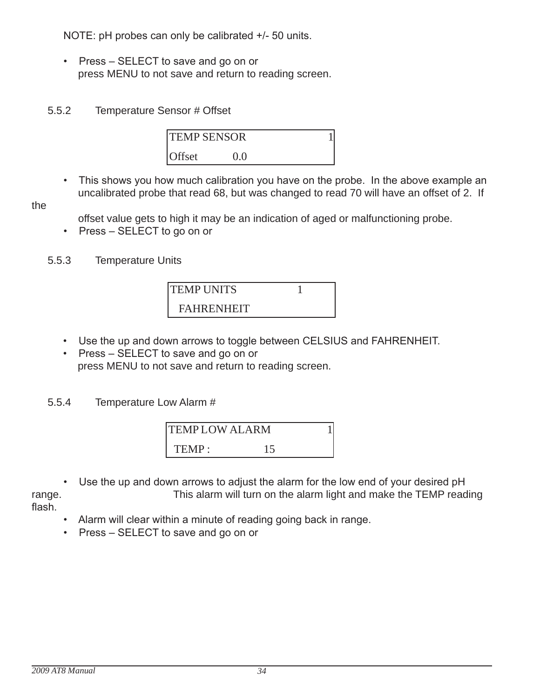NOTE: pH probes can only be calibrated +/- 50 units.

• Press – SELECT to save and go on or press mENU to not save and return to reading screen.

## 5.5.2 Temperature Sensor # Offset

| <b>TEMP SENSOR</b> |          |  |
|--------------------|----------|--|
| <b>Offset</b>      | $\Omega$ |  |

• This shows you how much calibration you have on the probe. In the above example an uncalibrated probe that read 68, but was changed to read 70 will have an offset of 2. If

the

offset value gets to high it may be an indication of aged or malfunctioning probe.

• Press – SELECT to go on or

### 5.5.3 Temperature Units



- Use the up and down arrows to toggle between CELSIUS and FAHRENHEIT.
- Press SELECT to save and go on or press mENU to not save and return to reading screen.

5.5.4 Temperature low Alarm #

| <b>TEMPLOW ALARM</b> |  |  |
|----------------------|--|--|
| TEMP:                |  |  |

• Use the up and down arrows to adjust the alarm for the low end of your desired pH range. This alarm will turn on the alarm light and make the TEmP reading flash.

• Alarm will clear within a minute of reading going back in range.

• Press – SELECT to save and go on or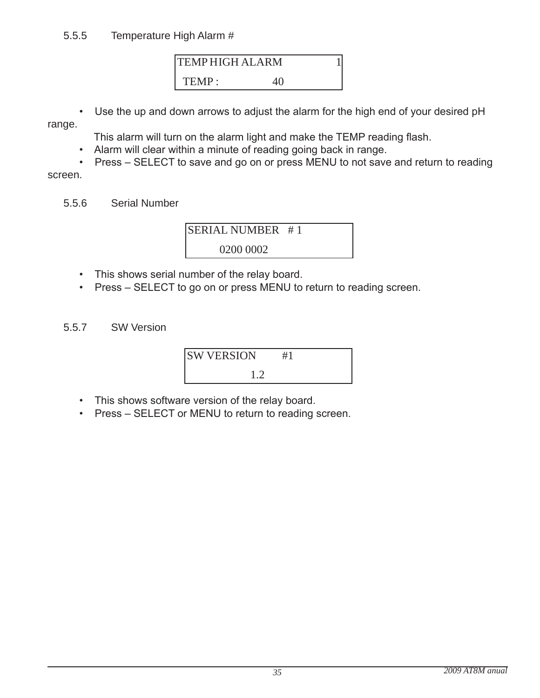## 5.5.5 Temperature High Alarm #

TEMP HIGH ALARM 1 TEMP: 40

• Use the up and down arrows to adjust the alarm for the high end of your desired pH

range.

This alarm will turn on the alarm light and make the TEMP reading flash.

- Alarm will clear within a minute of reading going back in range.
- Press SELECT to save and go on or press MENU to not save and return to reading screen.
	- 5.5.6 Serial Number



- This shows serial number of the relay board.
- Press SELECT to go on or press MENU to return to reading screen.
- 5.5.7 SW Version



- This shows software version of the relay board.
- Press SELECT or MENU to return to reading screen.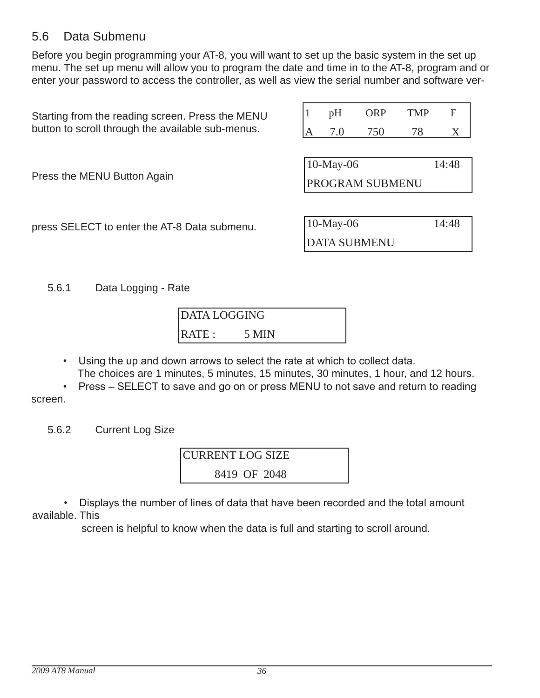## 5.6 Data Submenu

before you begin programming your AT-8, you will want to set up the basic system in the set up menu. The set up menu will allow you to program the date and time in to the AT-8, program and or enter your password to access the controller, as well as view the serial number and software ver-

| Starting from the reading screen. Press the MENU  | 1                     | pH                  | <b>ORP</b> | <b>TMP</b> | F     |  |
|---------------------------------------------------|-----------------------|---------------------|------------|------------|-------|--|
| button to scroll through the available sub-menus. |                       | 7.0                 | 750        | 78         | X     |  |
|                                                   |                       |                     |            |            |       |  |
|                                                   | $10$ -May-06<br>14:48 |                     |            |            |       |  |
| Press the MENU Button Again                       |                       | PROGRAM SUBMENU     |            |            |       |  |
|                                                   |                       |                     |            |            |       |  |
|                                                   |                       | $10$ -May-06        |            |            | 14:48 |  |
| press SELECT to enter the AT-8 Data submenu.      |                       |                     |            |            |       |  |
|                                                   |                       | <b>DATA SUBMENU</b> |            |            |       |  |

5.6.1 Data Logging - Rate

| <b>DATA LOGGING</b> |       |  |
|---------------------|-------|--|
| RATE:               | 5 MIN |  |

- Using the up and down arrows to select the rate at which to collect data. The choices are 1 minutes, 5 minutes, 15 minutes, 30 minutes, 1 hour, and 12 hours.
- Press SELECT to save and go on or press MENU to not save and return to reading screen.

5.6.2 Current log Size

CURRENT LOG SIZE 8419 OF 2048

 • Displays the number of lines of data that have been recorded and the total amount available. This

screen is helpful to know when the data is full and starting to scroll around.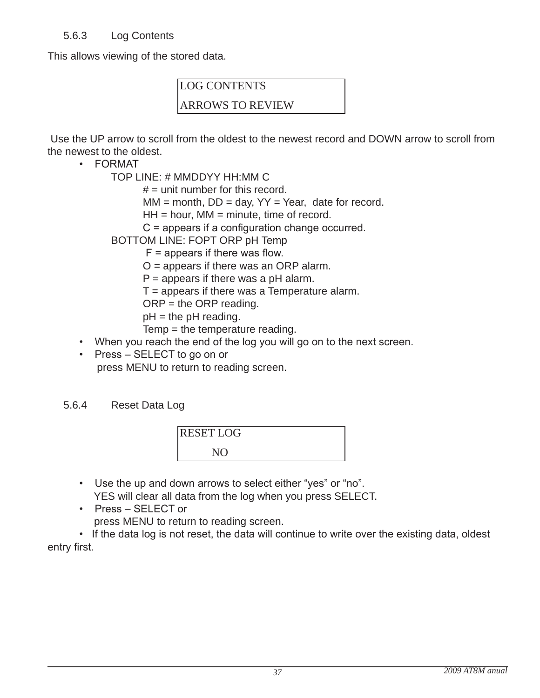This allows viewing of the stored data.

## LOG CONTENTS

## ARROWS TO REVIEW

Use the UP arrow to scroll from the oldest to the newest record and DOWN arrow to scroll from the newest to the oldest.

• FORMAT

TOP lINE: # mmddYY HH:mm C

 $#$  = unit number for this record.

 $MM = month$ ,  $DD = day$ ,  $YY = Year$ , date for record.

 $HH = hour$ , MM = minute, time of record.

C = appears if a configuration change occurred.

- bOTTOm lINE: FOPT ORP pH Temp
	- $F =$  appears if there was flow.

 $O =$  appears if there was an ORP alarm.

 $P =$  appears if there was a pH alarm.

 $T =$  appears if there was a Temperature alarm.

 $ORP =$  the ORP reading.

 $pH =$  the  $pH$  reading.

Temp = the temperature reading.

- When you reach the end of the log you will go on to the next screen.
- Press SELECT to go on or press mENU to return to reading screen.

## 5.6.4 Reset Data Log



- Use the up and down arrows to select either "yes" or "no". YES will clear all data from the log when you press SElECT.
- Press SELECT or
	- press mENU to return to reading screen.

• If the data log is not reset, the data will continue to write over the existing data, oldest entry first.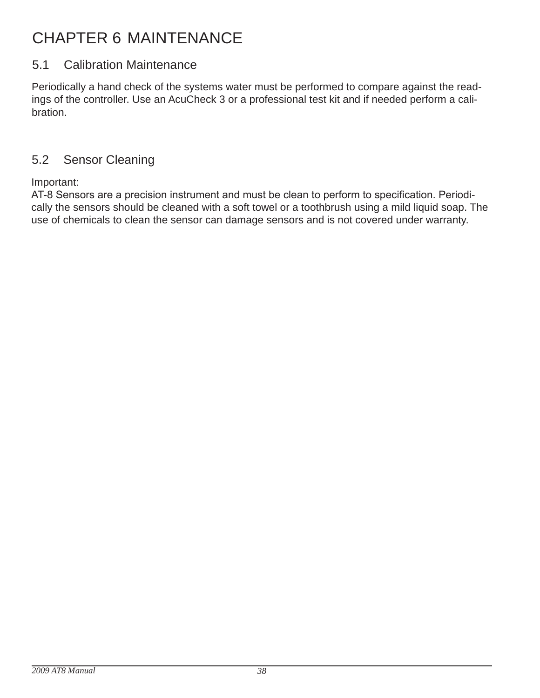## CHAPTER 6 mAINTENANCE

## 5.1 Calibration Maintenance

Periodically a hand check of the systems water must be performed to compare against the readings of the controller. Use an AcuCheck 3 or a professional test kit and if needed perform a calibration.

## 5.2 Sensor Cleaning

Important:

AT-8 Sensors are a precision instrument and must be clean to perform to specification. Periodically the sensors should be cleaned with a soft towel or a toothbrush using a mild liquid soap. The use of chemicals to clean the sensor can damage sensors and is not covered under warranty.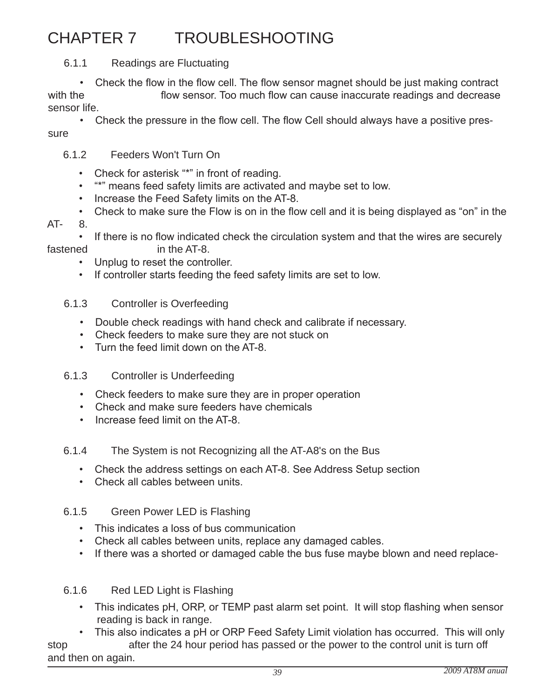## CHAPTER 7 TROUblESHOOTINg

6.1.1 Readings are Fluctuating

 • Check the flow in the flow cell. The flow sensor magnet should be just making contract with the flow sensor. Too much flow can cause inaccurate readings and decrease sensor life.

 • Check the pressure in the flow cell. The flow Cell should always have a positive pressure

## 6.1.2 Feeders Won't Turn On

- Check for asterisk "\*" in front of reading.
- "\*" means feed safety limits are activated and maybe set to low.
- Increase the Feed Safety limits on the AT-8.
- Check to make sure the Flow is on in the flow cell and it is being displayed as "on" in the
- AT- 8.
- If there is no flow indicated check the circulation system and that the wires are securely fastened in the AT-8.
	- Unplug to reset the controller.
	- If controller starts feeding the feed safety limits are set to low.

## 6.1.3 Controller is Overfeeding

- Double check readings with hand check and calibrate if necessary.
- Check feeders to make sure they are not stuck on
- Turn the feed limit down on the AT-8.

## 6.1.3 Controller is Underfeeding

- Check feeders to make sure they are in proper operation
- Check and make sure feeders have chemicals
- Increase feed limit on the AT-8.

## 6.1.4 The System is not Recognizing all the AT-A8's on the bus

- Check the address settings on each AT-8. See Address Setup section
- Check all cables between units.

## 6.1.5 Green Power LED is Flashing

- This indicates a loss of bus communication
- Check all cables between units, replace any damaged cables.
- If there was a shorted or damaged cable the bus fuse maybe blown and need replace-

## 6.1.6 Red LED Light is Flashing

 • This indicates pH, ORP, or TEMP past alarm set point. It will stop flashing when sensor reading is back in range.

 • This also indicates a pH or ORP Feed Safety Limit violation has occurred. This will only stop after the 24 hour period has passed or the power to the control unit is turn off and then on again.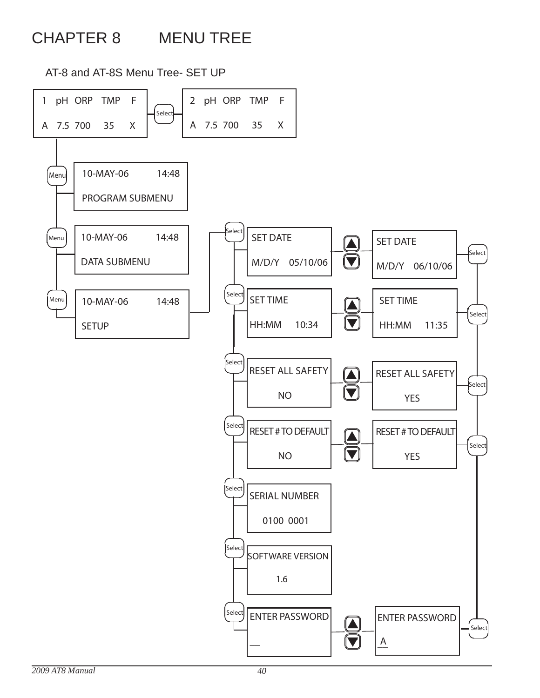## CHAPTER 8 mENU TREE

AT-8 and AT-8S Menu Tree- SET UP

2 pH ORP TMP F 1 pH ORP TMP F Select A 7.5 700 35 X A 7.5 700 35 X 10-MAY-06 14:48 Menu PROGRAM SUBMENU **Select** 10-MAY-06 14:48 Menu SET DATE **SET DATE** Select DATA SUBMENU  $|\bm{\nabla}$ M/D/Y 05/10/06 M/D/Y 06/10/06 Select **SET TIME** Menu 10-MAY-06 14:48 **SET TIME** Select  $\blacktriangledown$ HH:MM 10:34 HH:MM 11:35 **SETUP** Select **RESET ALL SAFETY** RESET ALL SAFETY ▐▁▙ Select  $\blacktriangledown$ NO **YES** Select RESET # TO DEFAULT RESET # TO DEFAULT  $\blacktriangle$ Select  $\boldsymbol{\nabla}$ NO **YES** Select SERIAL NUMBER 0100 0001 Select SOFTWARE VERSION 1.6 Select ENTER PASSWORD ENTER PASSWORD Select  $\blacktriangledown$ <sup>2</sup>  $\triangle$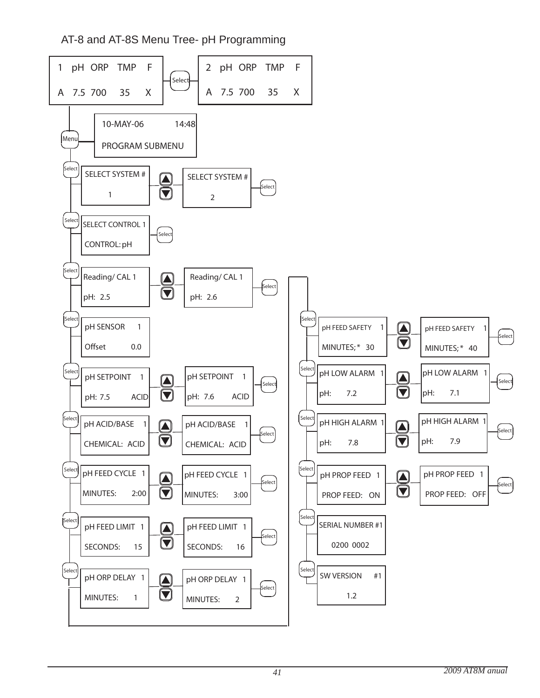AT-8 and AT-8S Menu Tree- pH Programming

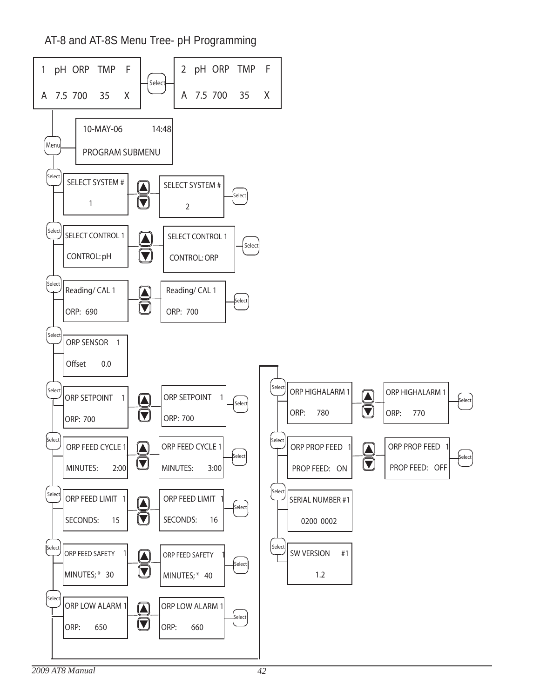AT-8 and AT-8S Menu Tree- pH Programming

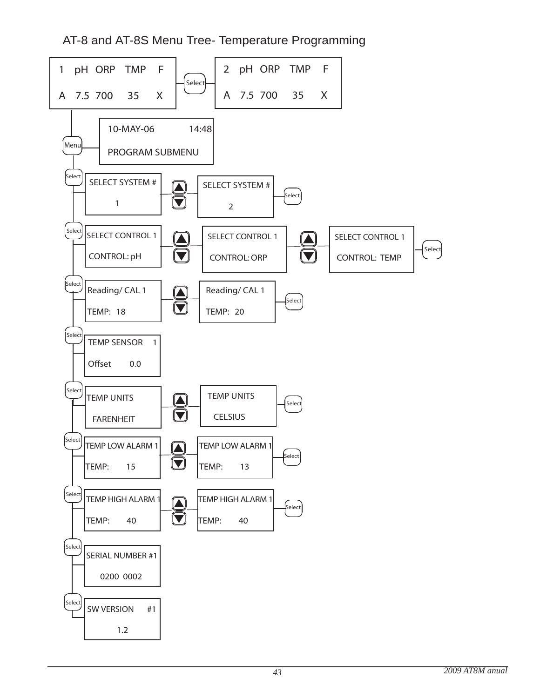AT-8 and AT-8S Menu Tree- Temperature Programming